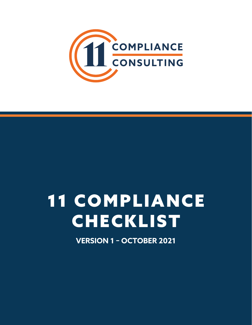

# **11 COMPLIANCE CHECKLIST**

**VERSION 1 - OCTOBER 2021**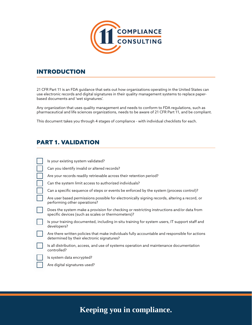

#### INTRODUCTION

21 CFR Part 11 is an FDA guidance that sets out how organizations operating in the United States can use electronic records and digital signatures in their quality management systems to replace paperbased documents and 'wet signatures'.

Any organization that uses quality management and needs to conform to FDA regulations, such as pharmaceutical and life sciences organizations, needs to be aware of 21 CFR Part 11, and be compliant.

This document takes you through 4 stages of compliance - with individual checklists for each.

#### PART 1. VALIDATION

| Is your existing system validated?                                                                                                               |
|--------------------------------------------------------------------------------------------------------------------------------------------------|
| Can you identify invalid or altered records?                                                                                                     |
| Are your records readily retrievable across their retention period?                                                                              |
| Can the system limit access to authorized individuals?                                                                                           |
| Can a specific sequence of steps or events be enforced by the system (process control)?                                                          |
| Are user based permissions possible for electronically signing records, altering a record, or<br>performing other operations?                    |
| Does the system make a provision for checking or restricting instructions and/or data from<br>specific devices (such as scales or thermometers)? |
| Is your training documented, including in-situ training for system users, IT support staff and<br>developers?                                    |
| Are there written policies that make individuals fully accountable and responsible for actions<br>determined by their electronic signatures?     |
| Is all distribution, access, and use of systems operation and maintenance documentation<br>controlled?                                           |
| Is system data encrypted?                                                                                                                        |
| Are digital signatures used?                                                                                                                     |
|                                                                                                                                                  |

## **Keeping you in compliance.**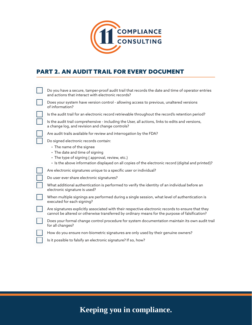

#### PART 2. AN AUDIT TRAIL FOR EVERY DOCUMENT

| Do you have a secure, tamper-proof audit trail that records the date and time of operator entries<br>and actions that interact with electronic records?                                             |
|-----------------------------------------------------------------------------------------------------------------------------------------------------------------------------------------------------|
| Does your system have version control - allowing access to previous, unaltered versions<br>of information?                                                                                          |
| Is the audit trail for an electronic record retrievable throughout the record's retention period?                                                                                                   |
| Is the audit trail comprehensive - including the User, all actions, links to edits and versions,<br>a change log, and revision and change controls?                                                 |
| Are audit trails available for review and interrogation by the FDA?                                                                                                                                 |
| Do signed electronic records contain:                                                                                                                                                               |
| • The name of the signee                                                                                                                                                                            |
| • The date and time of signing<br>• The type of signing (approval, review, etc.)                                                                                                                    |
| · Is the above information displayed on all copies of the electronic record (digital and printed)?                                                                                                  |
| Are electronic signatures unique to a specific user or individual?                                                                                                                                  |
| Do user ever share electronic signatures?                                                                                                                                                           |
| What additional authentication is performed to verify the identity of an individual before an<br>electronic signature is used?                                                                      |
| When multiple signings are performed during a single session, what level of authentication is<br>executed for each signing?                                                                         |
| Are signatures explicitly associated with their respective electronic records to ensure that they<br>cannot be altered or otherwise transferred by ordinary means for the purpose of falsification? |
| Does your formal change control procedure for system documentation maintain its own audit trail<br>for all changes?                                                                                 |
| How do you ensure non-biometric signatures are only used by their genuine owners?                                                                                                                   |
| Is it possible to falsify an electronic signature? If so, how?                                                                                                                                      |

# **Keeping you in compliance.**